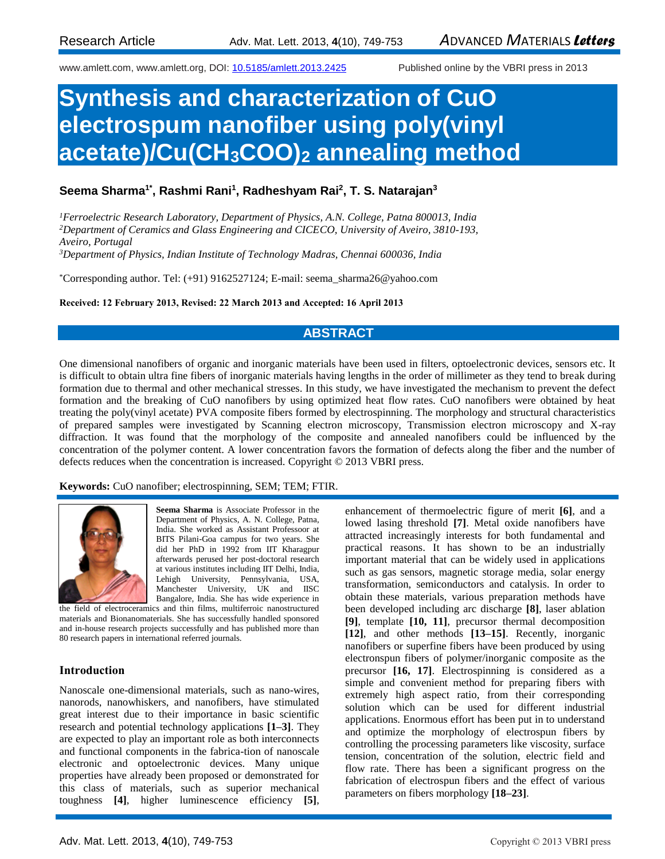www.amlett.com, www.amlett.org, DOI[: 10.5185/amlett.2013.2425](http://dx.doi.org/10.5185/amlett.2013.2425) Published online by the VBRI press in 2013

# **Synthesis and characterization of CuO electrospum nanofiber using poly(vinyl acetate)/Cu(CH3COO)<sup>2</sup> annealing method**

## **Seema Sharma1\*, Rashmi Rani<sup>1</sup> , Radheshyam Rai<sup>2</sup> , T. S. Natarajan<sup>3</sup>**

*Ferroelectric Research Laboratory, Department of Physics, A.N. College, Patna 800013, India Department of Ceramics and Glass Engineering and CICECO, University of Aveiro, 3810-193, Aveiro, Portugal Department of Physics, Indian Institute of Technology Madras, Chennai 600036, India*

\*Corresponding author. Tel: (+91) 9162527124; E-mail: seema\_sharma26@yahoo.com

#### **Received: 12 February 2013, Revised: 22 March 2013 and Accepted: 16 April 2013**

## **ABSTRACT**

One dimensional nanofibers of organic and inorganic materials have been used in filters, optoelectronic devices, sensors etc. It is difficult to obtain ultra fine fibers of inorganic materials having lengths in the order of millimeter as they tend to break during formation due to thermal and other mechanical stresses. In this study, we have investigated the mechanism to prevent the defect formation and the breaking of CuO nanofibers by using optimized heat flow rates. CuO nanofibers were obtained by heat treating the poly(vinyl acetate) PVA composite fibers formed by electrospinning. The morphology and structural characteristics of prepared samples were investigated by Scanning electron microscopy, Transmission electron microscopy and X-ray diffraction. It was found that the morphology of the composite and annealed nanofibers could be influenced by the concentration of the polymer content. A lower concentration favors the formation of defects along the fiber and the number of defects reduces when the concentration is increased. Copyright © 2013 VBRI press.

#### **Keywords:** CuO nanofiber; electrospinning, SEM; TEM; FTIR.



**Seema Sharma** is Associate Professor in the Department of Physics, A. N. College, Patna, India. She worked as Assistant Professoor at BITS Pilani-Goa campus for two years. She did her PhD in 1992 from IIT Kharagpur afterwards perused her post-doctoral research at various institutes including IIT Delhi, India, Lehigh University, Pennsylvania, USA, Manchester University, UK and IISC Bangalore, India. She has wide experience in

the field of electroceramics and thin films, multiferroic nanostructured materials and Bionanomaterials. She has successfully handled sponsored and in-house research projects successfully and has published more than 80 research papers in international referred journals.

#### **Introduction**

Nanoscale one-dimensional materials, such as nano-wires, nanorods, nanowhiskers, and nanofibers, have stimulated great interest due to their importance in basic scientific research and potential technology applications **[1–3]**. They are expected to play an important role as both interconnects and functional components in the fabrica-tion of nanoscale electronic and optoelectronic devices. Many unique properties have already been proposed or demonstrated for this class of materials, such as superior mechanical toughness **[4]**, higher luminescence efficiency **[5]**,

enhancement of thermoelectric figure of merit **[6]**, and a lowed lasing threshold **[7]**. Metal oxide nanofibers have attracted increasingly interests for both fundamental and practical reasons. It has shown to be an industrially important material that can be widely used in applications such as gas sensors, magnetic storage media, solar energy transformation, semiconductors and catalysis. In order to obtain these materials, various preparation methods have been developed including arc discharge **[8]**, laser ablation **[9]**, template **[10, 11]**, precursor thermal decomposition **[12]**, and other methods **[13–15]**. Recently, inorganic nanofibers or superfine fibers have been produced by using electronspun fibers of polymer/inorganic composite as the precursor **[16, 17]**. Electrospinning is considered as a simple and convenient method for preparing fibers with extremely high aspect ratio, from their corresponding solution which can be used for different industrial applications. Enormous effort has been put in to understand and optimize the morphology of electrospun fibers by controlling the processing parameters like viscosity, surface tension, concentration of the solution, electric field and flow rate. There has been a significant progress on the fabrication of electrospun fibers and the effect of various parameters on fibers morphology **[18–23]**.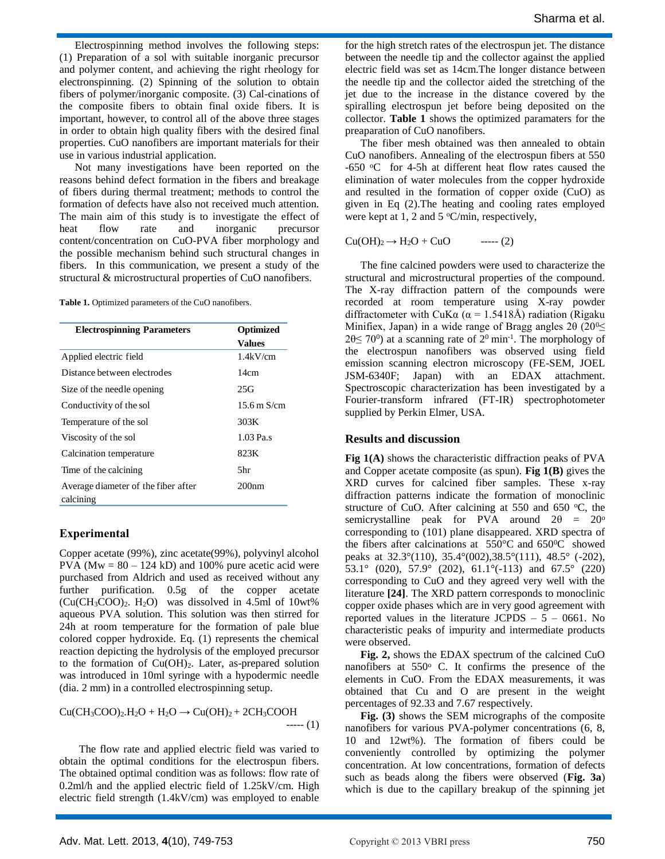Electrospinning method involves the following steps: (1) Preparation of a sol with suitable inorganic precursor and polymer content, and achieving the right rheology for electronspinning. (2) Spinning of the solution to obtain fibers of polymer/inorganic composite. (3) Cal-cinations of the composite fibers to obtain final oxide fibers. It is important, however, to control all of the above three stages in order to obtain high quality fibers with the desired final properties. CuO nanofibers are important materials for their use in various industrial application.

Not many investigations have been reported on the reasons behind defect formation in the fibers and breakage of fibers during thermal treatment; methods to control the formation of defects have also not received much attention. The main aim of this study is to investigate the effect of heat flow rate and inorganic precursor content/concentration on CuO-PVA fiber morphology and the possible mechanism behind such structural changes in fibers. In this communication, we present a study of the structural & microstructural properties of CuO nanofibers.

Table 1. Optimized parameters of the CuO nanofibers.

| <b>Electrospinning Parameters</b>                | <b>Optimized</b><br><b>Values</b> |
|--------------------------------------------------|-----------------------------------|
|                                                  |                                   |
| Distance between electrodes                      | 14cm                              |
| Size of the needle opening                       | 25G                               |
| Conductivity of the sol                          | 15.6 m $S/cm$                     |
| Temperature of the sol                           | 303K                              |
| Viscosity of the sol                             | $1.03$ Pa.s                       |
| Calcination temperature                          | 823K                              |
| Time of the calcining                            | 5hr                               |
| Average diameter of the fiber after<br>calcining | 200 <sub>nm</sub>                 |

### **Experimental**

Copper acetate (99%), zinc acetate(99%), polyvinyl alcohol PVA ( $Mw = 80 - 124$  kD) and 100% pure acetic acid were purchased from Aldrich and used as received without any further purification. 0.5g of the copper acetate  $(Cu(CH_3COO)_2$ . H<sub>2</sub>O) was dissolved in 4.5ml of 10wt% aqueous PVA solution. This solution was then stirred for 24h at room temperature for the formation of pale blue colored copper hydroxide. Eq. (1) represents the chemical reaction depicting the hydrolysis of the employed precursor to the formation of  $Cu(OH)_2$ . Later, as-prepared solution was introduced in 10ml syringe with a hypodermic needle (dia. 2 mm) in a controlled electrospinning setup.

 $Cu(CH_3COO)_2.H_2O + H_2O \rightarrow Cu(OH)_2 + 2CH_3COOH$  $---(1)$ 

The flow rate and applied electric field was varied to obtain the optimal conditions for the electrospun fibers. The obtained optimal condition was as follows: flow rate of 0.2ml/h and the applied electric field of 1.25kV/cm. High electric field strength (1.4kV/cm) was employed to enable

for the high stretch rates of the electrospun jet. The distance between the needle tip and the collector against the applied electric field was set as 14cm.The longer distance between the needle tip and the collector aided the stretching of the jet due to the increase in the distance covered by the spiralling electrospun jet before being deposited on the collector. **Table 1** shows the optimized paramaters for the preaparation of CuO nanofibers.

The fiber mesh obtained was then annealed to obtain CuO nanofibers. Annealing of the electrospun fibers at 550 -650 °C for 4-5h at different heat flow rates caused the elimination of water molecules from the copper hydroxide and resulted in the formation of copper oxide (CuO) as given in Eq (2).The heating and cooling rates employed were kept at 1, 2 and 5  $\degree$ C/min, respectively,

 $Cu(OH)<sub>2</sub> \rightarrow H<sub>2</sub>O + CuO$  ----- (2)

The fine calcined powders were used to characterize the structural and microstructural properties of the compound. The X-ray diffraction pattern of the compounds were recorded at room temperature using X-ray powder diffractometer with CuK $\alpha$  ( $\alpha$  = 1.5418Å) radiation (Rigaku Minifiex, Japan) in a wide range of Bragg angles  $2\theta$  (20<sup>0</sup> $\leq$  $20 \le 70^{\circ}$ ) at a scanning rate of  $2^{\circ}$  min<sup>-1</sup>. The morphology of the electrospun nanofibers was observed using field emission scanning electron microscopy (FE-SEM, JOEL JSM-6340F; Japan) with an EDAX attachment. Spectroscopic characterization has been investigated by a Fourier-transform infrared (FT-IR) spectrophotometer supplied by Perkin Elmer, USA.

#### **Results and discussion**

**Fig 1(A)** shows the characteristic diffraction peaks of PVA and Copper acetate composite (as spun). **Fig 1(B)** gives the XRD curves for calcined fiber samples. These x-ray diffraction patterns indicate the formation of monoclinic structure of CuO. After calcining at 550 and 650  $\degree$ C, the semicrystalline peak for PVA around  $2\theta = 20^{\circ}$ corresponding to (101) plane disappeared. XRD spectra of the fibers after calcinations at 550°C and 650<sup>0</sup>C showed peaks at 32.3°(110), 35.4°(002),38.5°(111), 48.5° (-202), 53.1° (020), 57.9° (202), 61.1°(-113) and 67.5° (220) corresponding to CuO and they agreed very well with the literature **[24]**. The XRD pattern corresponds to monoclinic copper oxide phases which are in very good agreement with reported values in the literature JCPDS  $-5 - 0661$ . No characteristic peaks of impurity and intermediate products were observed.

**Fig. 2,** shows the EDAX spectrum of the calcined CuO nanofibers at  $550^\circ$  C. It confirms the presence of the elements in CuO. From the EDAX measurements, it was obtained that Cu and O are present in the weight percentages of 92.33 and 7.67 respectively.

**Fig. (3)** shows the SEM micrographs of the composite nanofibers for various PVA-polymer concentrations (6, 8, 10 and 12wt%). The formation of fibers could be conveniently controlled by optimizing the polymer concentration. At low concentrations, formation of defects such as beads along the fibers were observed (**Fig. 3a**) which is due to the capillary breakup of the spinning jet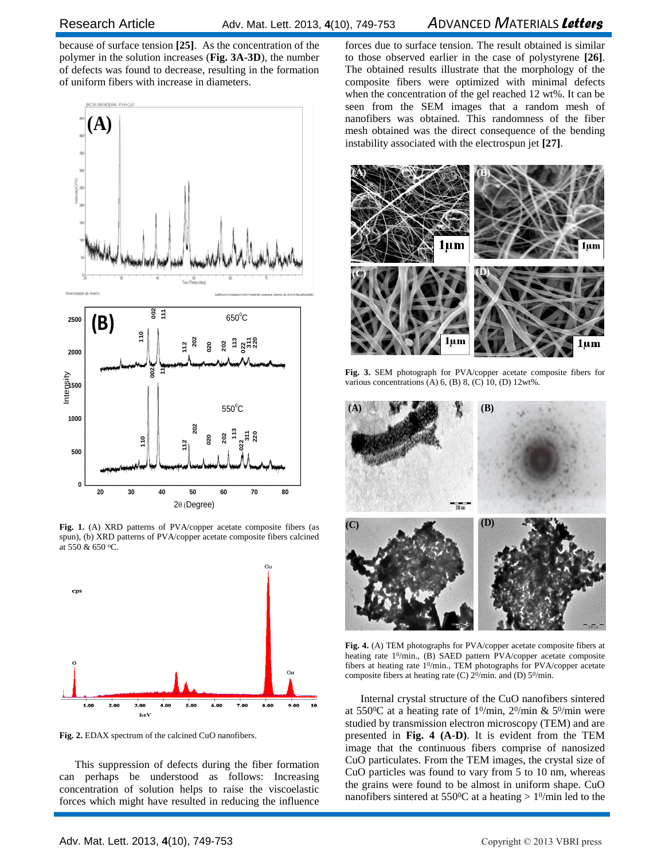## Research ArticleAdv. Mat. Lett. 2013, **4**(10), 749-753 *A*DVANCED *M*ATERIALS *Letters*

because of surface tension **[25]**. As the concentration of the polymer in the solution increases (**Fig. 3A-3D**), the number of defects was found to decrease, resulting in the formation of uniform fibers with increase in diameters.



**Fig. 1.** (A) XRD patterns of PVA/copper acetate composite fibers (as spun), (b) XRD patterns of PVA/copper acetate composite fibers calcined at 550 & 650 <sup>o</sup>C.



**Fig. 2.** EDAX spectrum of the calcined CuO nanofibers.

This suppression of defects during the fiber formation can perhaps be understood as follows: Increasing concentration of solution helps to raise the viscoelastic forces which might have resulted in reducing the influence nanofibers was obtained. This randomness of the fiber mesh obtained was the direct consequence of the bending instability associated with the electrospun jet [27]. forces due to surface tension. The result obtained is similar to those observed earlier in the case of polystyrene **[26]**. The obtained results illustrate that the morphology of the composite fibers were optimized with minimal defects when the concentration of the gel reached 12 wt%. It can be seen from the SEM images that a random mesh of mesh obtained was the direct consequence of the bending instability associated with the electrospun jet **[27]**.



**Fig. 3.** SEM photograph for PVA/copper acetate composite fibers for various concentrations  $(A)$  6,  $(B)$  8,  $(C)$  10,  $(D)$  12wt%.



**Fig. 4.** (A) TEM photographs for PVA/copper acetate composite fibers at heating rate 1<sup>0</sup>/min., (B) SAED pattern PVA/copper acetate composite fibers at heating rate 1<sup>0</sup>/min., TEM photographs for PVA/copper acetate composite fibers at heating rate (C) 2<sup>0</sup>/min. and (D) 5<sup>0</sup>/min.

Internal crystal structure of the CuO nanofibers sintered at 550<sup>o</sup>C at a heating rate of  $1^0$ /min,  $2^0$ /min & 5<sup>0</sup>/min were studied by transmission electron microscopy (TEM) and are presented in **Fig. 4 (A-D)**. It is evident from the TEM image that the continuous fibers comprise of nanosized CuO particulates. From the TEM images, the crystal size of CuO particles was found to vary from 5 to 10 nm, whereas the grains were found to be almost in uniform shape. CuO nanofibers sintered at  $550^{\circ}$ C at a heating  $> 1^{\circ}$ /min led to the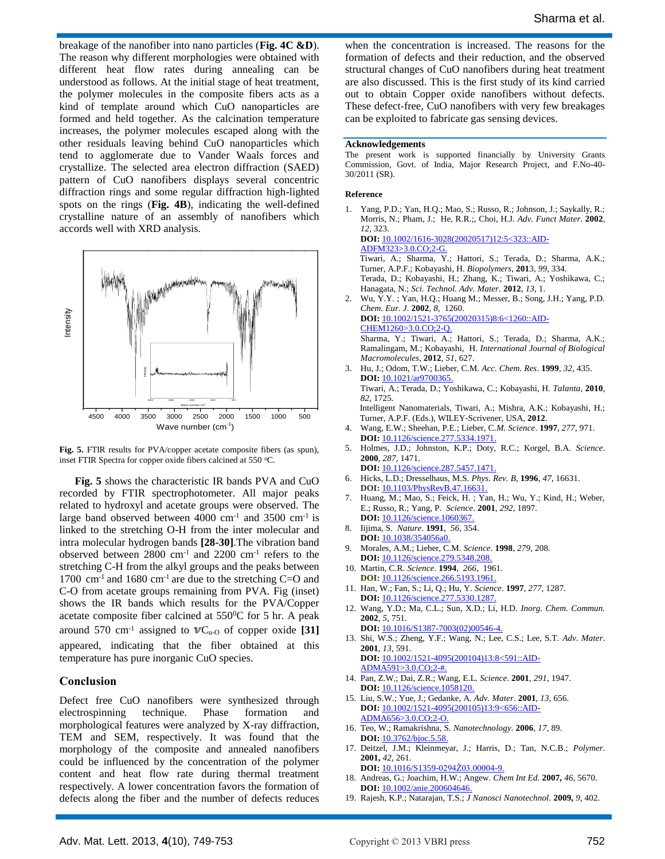breakage of the nanofiber into nano particles (**Fig. 4C &D**). The reason why different morphologies were obtained with different heat flow rates during annealing can be understood as follows. At the initial stage of heat treatment, the polymer molecules in the composite fibers acts as a kind of template around which CuO nanoparticles are formed and held together. As the calcination temperature increases, the polymer molecules escaped along with the other residuals leaving behind CuO nanoparticles which tend to agglomerate due to Vander Waals forces and crystallize. The selected area electron diffraction (SAED) pattern of CuO nanofibers displays several concentric diffraction rings and some regular diffraction high-lighted spots on the rings (**Fig. 4B**), indicating the well-defined crystalline nature of an assembly of nanofibers which accords well with XRD analysis.



**Fig. 5.** FTIR results for PVA/copper acetate composite fibers (as spun), inset FTIR Spectra for copper oxide fibers calcined at 550 °C.

**Fig. 5** shows the characteristic IR bands PVA and CuO recorded by FTIR spectrophotometer. All major peaks related to hydroxyl and acetate groups were observed. The large band observed between  $4000 \text{ cm}^{-1}$  and  $3500 \text{ cm}^{-1}$  is linked to the stretching O-H from the inter molecular and intra molecular hydrogen bands **[28-30]**.The vibration band observed between 2800 cm-1 and 2200 cm-1 refers to the stretching C-H from the alkyl groups and the peaks between 1700 cm<sup>-1</sup> and 1680 cm<sup>-1</sup> are due to the stretching C=O and C-O from acetate groups remaining from PVA. Fig (inset) shows the IR bands which results for the PVA/Copper acetate composite fiber calcined at  $550^{\circ}$ C for 5 hr. A peak around 570 cm<sup>-1</sup> assigned to  $VC<sub>u-O</sub>$  of copper oxide [31] appeared, indicating that the fiber obtained at this temperature has pure inorganic CuO species.

#### **Conclusion**

Defect free CuO nanofibers were synthesized through electrospinning technique. Phase formation and morphological features were analyzed by X-ray diffraction, TEM and SEM, respectively. It was found that the morphology of the composite and annealed nanofibers could be influenced by the concentration of the polymer content and heat flow rate during thermal treatment respectively. A lower concentration favors the formation of defects along the fiber and the number of defects reduces

when the concentration is increased. The reasons for the formation of defects and their reduction, and the observed structural changes of CuO nanofibers during heat treatment are also discussed. This is the first study of its kind carried out to obtain Copper oxide nanofibers without defects. These defect-free, CuO nanofibers with very few breakages can be exploited to fabricate gas sensing devices.

#### **Acknowledgements**

The present work is supported financially by University Grants Commission, Govt. of India, Major Research Project, and F.No-40- 30/2011 (SR).

#### **Reference**

1. Yang, P.D.; Yan, H.Q.; Mao, S.; Russo, R.; Johnson, J.; Saykally, R.; Morris, N.; Pham, J.; He, R.R.;, Choi, H.J. *Adv. Funct Mater*. **2002**, *12*, 323. **DOI:** [10.1002/1616-3028\(20020517\)12:5<323::AID-](../../../../Local%20Settings/Temporary%20Internet%20Files/Content.IE5/P565FUH3/AML_CUO1.doc)[ADFM323>3.0.CO;2-G.](../../../../Local%20Settings/Temporary%20Internet%20Files/Content.IE5/P565FUH3/AML_CUO1.doc)

Tiwari, A.; Sharma, Y.; Hattori, S.; Terada, D.; Sharma, A.K.; Turner, A.P.F.; Kobayashi, H. *Biopolymers*, **201**3, *99*, 334. Terada, D.; Kobayashi, H.; Zhang, K.; Tiwari, A.; Yoshikawa, C.; Hanagata, N.; *Sci. Technol. Adv. Mater.* **2012**, *13*, 1.

2. Wu, Y.Y. ; Yan, H.Q.; Huang M.; Messer, B.; Song, J.H.; Yang, P.D. *Chem. Eur. J*. **2002**, *8*, 1260. **DOI:** 10.1002/1521-3765(20020315)8:6<1260::AID-CHEM1260>3.0.CO;2-Q.

Sharma, Y.; Tiwari, A.; Hattori, S.; Terada, D.; Sharma, A.K.; Ramalingam, M.; Kobayashi, H. *International Journal of Biological Macromolecules*, **2012**, *51*, 627.

- 3. Hu, J.; Odom, T.W.; Lieber, C.M. *Acc. Chem. Res*. **1999**, *32*, 435. **DOI:** 10.1021/ar9700365. Tiwari, A.; Terada, D.; Yoshikawa, C.; Kobayashi, H. *Talanta*, **2010**, *82*, 1725. Intelligent Nanomaterials, Tiwari, A.; Mishra, A.K.; Kobayashi, H.; Turner, A.P.F. (Eds.), WILEY-Scrivener, USA, **2012**.
- 4. Wang, E.W.; Sheehan, P.E.; Lieber, C.*M. Science*. **1997**, *277*, 971. **DOI:** 10.1126/science.277.5334.1971.
- 5. Holmes, J.D.; Johnston, K.P.; Doty, R.C.; Korgel, B.A. *Science*. **2000**, *287*, 1471.
- **DOI:** 10.1126/science.287.5457.1471. 6. Hicks, L.D.; Dresselhaus, M.S. *Phys. Rev. B*, **1996**, *47*, 16631. **DOI:** 10.1103/PhysRevB.47.16631.
- Huang, M.; Mao, S.; Feick, H. ; Yan, H.; Wu, Y.; Kind, H.; Weber, E.; Russo, R.; Yang, P. *Science*. **2001**, *292*, 1897.
- **DOI:** 10.1126/science.1060367. 8. Iijima, S. *Nature*. **1991**, *56*, 354. **DOI:** 10.1038/354056a0.
- 9. Morales, A.M.; Lieber, C.M. *Science*. **1998**, *279*, 208. **DOI:** 10.1126/science.279.5348.208.
- 10. Martin, C.R. *Science*. **1994**, *266*, 1961. **DOI:** 10.1126/science.266.5193.1961.
- 11. Han, W.; Fan, S.; Li, Q.; Hu, Y. *Science*. **1997**, *277*, 1287. **DOI:** 10.1126/science.277.5330.1287.
- 12. Wang, Y.D.; Ma, C.L.; Sun, X.D.; Li, H.D. *Inorg. Chem. Commun.* **2002**, *5*, 751.
- **DOI:** 10.1016/S1387-7003(02)00546-4. 13. Shi, W.S.; Zheng, Y.F.; Wang, N.; Lee, C.S.; Lee, S.T. *Adv. Mater*.
- **2001**, *13*, 591. **DOI:** 10.1002/1521-4095(200104)13:8<591::AID-ADMA591>3.0.CO;2-#.
- 14. Pan, Z.W.; Dai, Z.R.; Wang, E.L. *Science*. **2001**, *291*, 1947. **DOI:** 10.1126/science.1058120.
- 15. Liu, S.W.; Yue, J.; Gedanke, A. *Adv. Mater*. **2001**, *13*, 656. **DOI:** 10.1002/1521-4095(200105)13:9<656::AID-ADMA656>3.0.CO;2-O.
- 16. Teo, W.; Ramakrishna, S. *Nanotechnology.* **2006**, *17*, 89. **DOI:** 10.3762/bjoc.5.58.
- 17. Deitzel, J.M.; Kleinmeyar, J.; Harris, D.; Tan, N.C.B.; *Polymer*. **2001,** *42,* 261. **DOI:** 10.1016/S1359-0294Ž03.00004-9.
- 18. Andreas, G.; Joachim, H.W.; Angew. *Chem Int Ed.* **2007,** *46*, 5670. **DOI:** 10.1002/anie.200604646.
- 19. Rajesh, K.P.; Natarajan, T.S.; *J Nanosci Nanotechnol.* **2009,** *9*, 402.